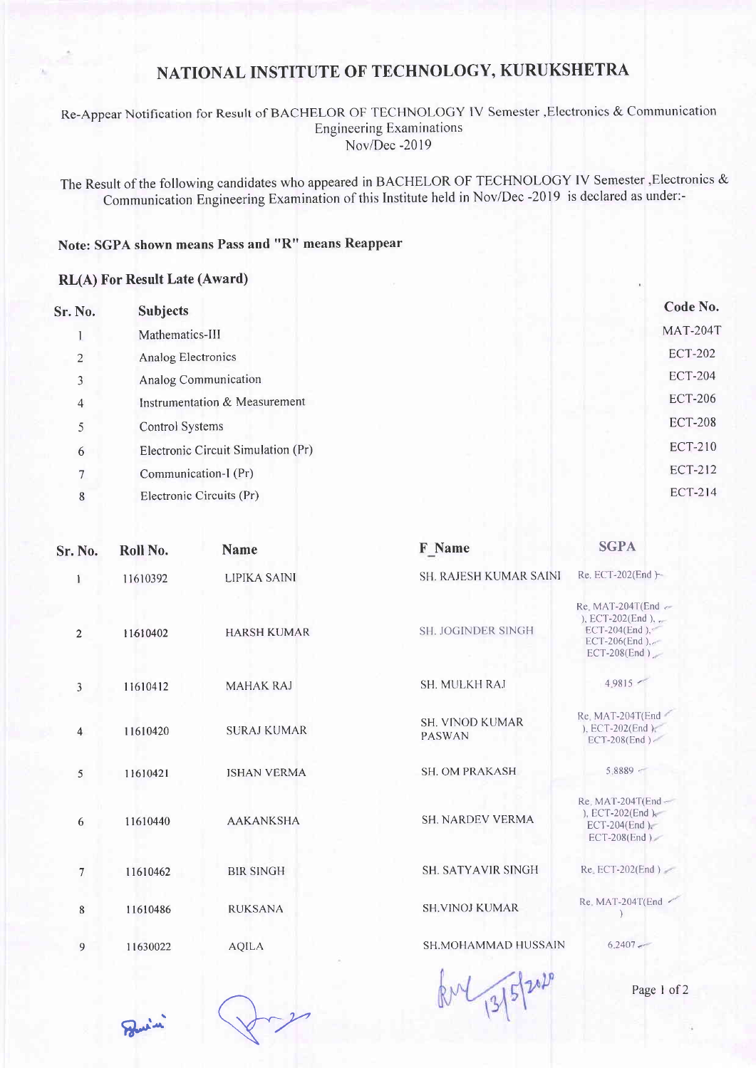## NATIONAL INSTITUTE OF TECHNOLOGY, KURUKSHETRA

Re-Appear Notification for Result of BACHELOR OF TECHNOLOGY lV Semester ,Electronics & Communication **Engineering Examinations** Nov/Dec -2019

The Result of the following candidates who appeared in BACHELOR OF TECHNOLOGY IV Semester,Electronics & Communication Engineering Examination of this Institute held in Nov/Dec -2019 is declared as under:-

## Note: SGPA shown means Pass and "R" means Reappear

## RL(A) For Result Late (Award)

| Sr. No.        | <b>Subjects</b>                    | Code No.        |
|----------------|------------------------------------|-----------------|
|                | Mathematics-III                    | <b>MAT-204T</b> |
| 2              | Analog Electronics                 | <b>ECT-202</b>  |
| 3              | Analog Communication               | <b>ECT-204</b>  |
| $\overline{4}$ | Instrumentation & Measurement      | <b>ECT-206</b>  |
| 5              | <b>Control Systems</b>             | <b>ECT-208</b>  |
| 6              | Electronic Circuit Simulation (Pr) | <b>ECT-210</b>  |
|                | Communication-I (Pr)               | <b>ECT-212</b>  |
| 8              | Electronic Circuits (Pr)           | <b>ECT-214</b>  |
|                |                                    |                 |

| Sr. No.        | Roll No. | <b>Name</b>         | <b>F</b> Name                            | <b>SGPA</b>                                                                                                   |
|----------------|----------|---------------------|------------------------------------------|---------------------------------------------------------------------------------------------------------------|
| $\mathbf{1}$   | 11610392 | <b>LIPIKA SAINI</b> | <b>SH. RAJESH KUMAR SAINI</b>            | $Re.$ ECT-202(End $\vdash$                                                                                    |
| $\overline{2}$ | 11610402 | <b>HARSH KUMAR</b>  | <b>SH. JOGINDER SINGH</b>                | Re. MAT-204T(End $\sim$<br>), ECT-202(End), $\sim$<br>ECT-204(End), $\leq$<br>ECT-206(End),<br>$ECT-208(End)$ |
| 3              | 11610412 | <b>MAHAK RAJ</b>    | SH. MULKH RAJ                            | 4.9815                                                                                                        |
| 4              | 11610420 | <b>SURAJ KUMAR</b>  | <b>SH. VINOD KUMAR</b><br><b>PASWAN</b>  | Re. MAT-204T(End<br>), ECT-202(End),<br>ECT-208(End)                                                          |
| 5              | 11610421 | <b>ISHAN VERMA</b>  | <b>SH. OM PRAKASH</b>                    | $5.8889 -$                                                                                                    |
| 6              | 11610440 | <b>AAKANKSHA</b>    | <b>SH. NARDEV VERMA</b>                  | Re. MAT-204T(End-<br>), ECT-202(End),<br>ECT-204(End),<br>$ECT-208 (End)$                                     |
| 7              | 11610462 | <b>BIR SINGH</b>    | <b>SH. SATYAVIR SINGH</b>                | $Re$ ECT-202(End)                                                                                             |
| 8              | 11610486 | <b>RUKSANA</b>      | <b>SH.VINOJ KUMAR</b>                    | Re. MAT-204T(End                                                                                              |
| 9              | 11630022 | <b>AQILA</b>        | <b>SH.MOHAMMAD HUSSAIN</b>               | $6.2407 -$                                                                                                    |
|                |          |                     | $\mathbb{A}$<br><b>Contract Contract</b> |                                                                                                               |

 $8.41$  Page 1 of 2